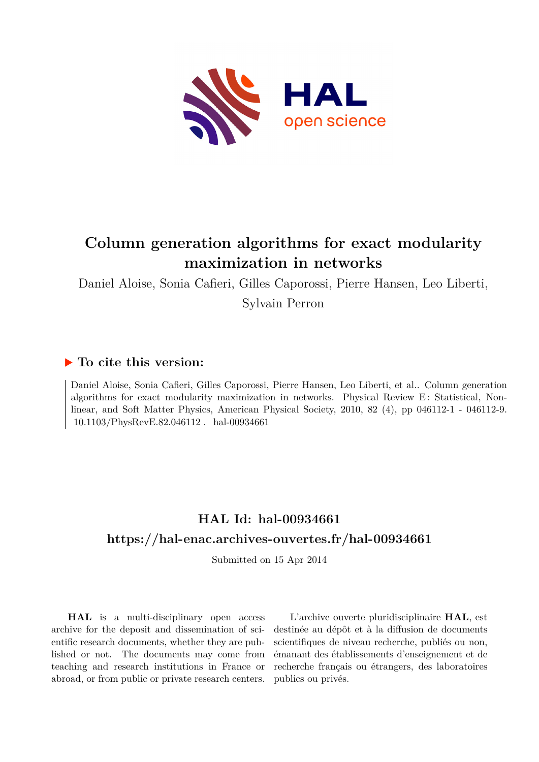

# **Column generation algorithms for exact modularity maximization in networks**

Daniel Aloise, Sonia Cafieri, Gilles Caporossi, Pierre Hansen, Leo Liberti, Sylvain Perron

## **To cite this version:**

Daniel Aloise, Sonia Cafieri, Gilles Caporossi, Pierre Hansen, Leo Liberti, et al.. Column generation algorithms for exact modularity maximization in networks. Physical Review E: Statistical, Nonlinear, and Soft Matter Physics, American Physical Society, 2010, 82 (4), pp 046112-1 - 046112-9. 10.1103/PhysRevE.82.046112. hal-00934661

## **HAL Id: hal-00934661 <https://hal-enac.archives-ouvertes.fr/hal-00934661>**

Submitted on 15 Apr 2014

**HAL** is a multi-disciplinary open access archive for the deposit and dissemination of scientific research documents, whether they are published or not. The documents may come from teaching and research institutions in France or abroad, or from public or private research centers.

L'archive ouverte pluridisciplinaire **HAL**, est destinée au dépôt et à la diffusion de documents scientifiques de niveau recherche, publiés ou non, émanant des établissements d'enseignement et de recherche français ou étrangers, des laboratoires publics ou privés.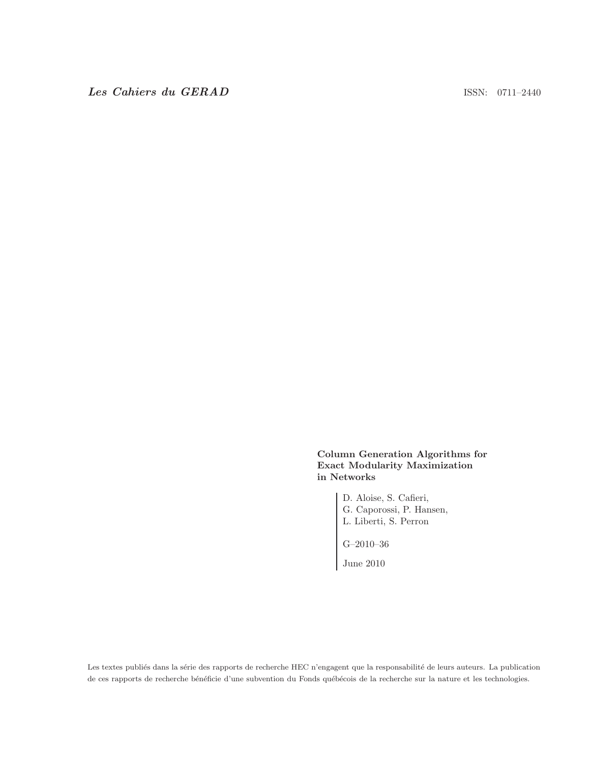Column Generation Algorithms for Exact Modularity Maximization in Networks

> D. Aloise, S. Cafieri, G. Caporossi, P. Hansen, L. Liberti, S. Perron

G–2010–36

June 2010

Les textes publiés dans la série des rapports de recherche HEC n'engagent que la responsabilité de leurs auteurs. La publication de ces rapports de recherche bénéficie d'une subvention du Fonds québécois de la recherche sur la nature et les technologies.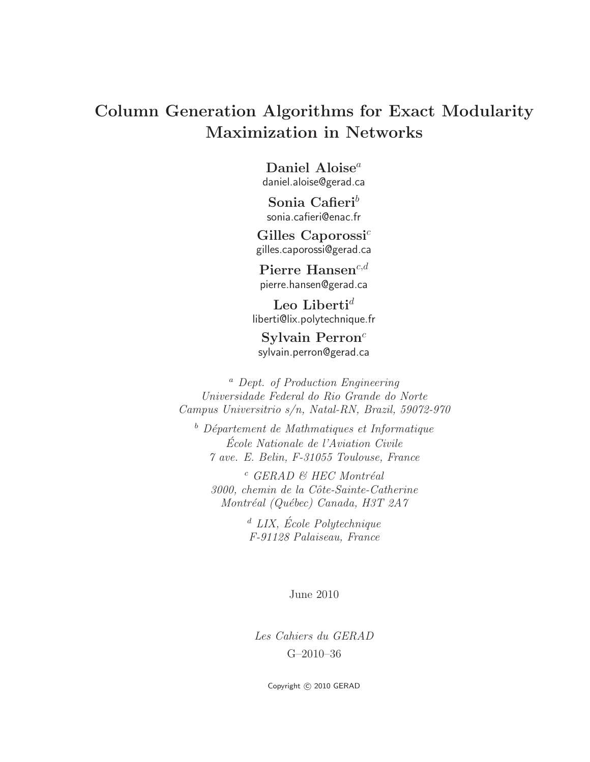# Column Generation Algorithms for Exact Modularity Maximization in Networks

Daniel Aloise<sup> $a$ </sup> daniel.aloise@gerad.ca

Sonia Cafieri $^b$ sonia.cafieri@enac.fr

Gilles Caporossi $^c$ gilles.caporossi@gerad.ca

Pierre Hansen $c, d$ pierre.hansen@gerad.ca

Leo Liberti<sup>d</sup> liberti@lix.polytechnique.fr

Sylvain Perron<sup>c</sup> sylvain.perron@gerad.ca

<sup>a</sup> Dept. of Production Engineering Universidade Federal do Rio Grande do Norte Campus Universitrio s/n, Natal-RN, Brazil, 59072-970

 $b$  Département de Mathmatiques et Informatique Ecole Nationale de l'Aviation Civile ´ 7 ave. E. Belin, F-31055 Toulouse, France

 $c$  GERAD & HEC Montréal 3000, chemin de la Cˆote-Sainte-Catherine Montréal (Québec) Canada, H3T 2A7

> $d$  LIX, École Polytechnique F-91128 Palaiseau, France

> > June 2010

Les Cahiers du GERAD G–2010–36

Copyright (c) 2010 GERAD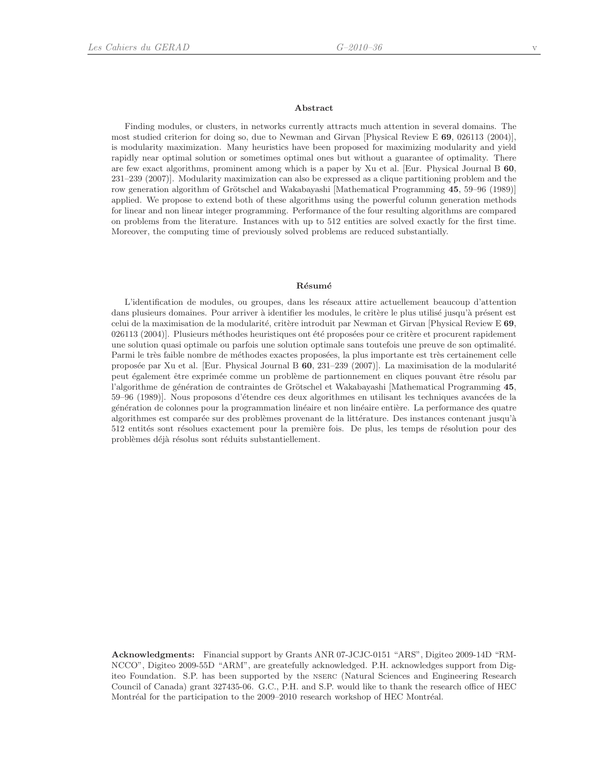#### Abstract

Finding modules, or clusters, in networks currently attracts much attention in several domains. The most studied criterion for doing so, due to Newman and Girvan [Physical Review E 69, 026113 (2004)], is modularity maximization. Many heuristics have been proposed for maximizing modularity and yield rapidly near optimal solution or sometimes optimal ones but without a guarantee of optimality. There are few exact algorithms, prominent among which is a paper by Xu et al. [Eur. Physical Journal B 60, 231–239 (2007)]. Modularity maximization can also be expressed as a clique partitioning problem and the row generation algorithm of Grötschel and Wakabayashi [Mathematical Programming 45, 59–96 (1989)] applied. We propose to extend both of these algorithms using the powerful column generation methods for linear and non linear integer programming. Performance of the four resulting algorithms are compared on problems from the literature. Instances with up to 512 entities are solved exactly for the first time. Moreover, the computing time of previously solved problems are reduced substantially.

#### **Résumé**

L'identification de modules, ou groupes, dans les réseaux attire actuellement beaucoup d'attention dans plusieurs domaines. Pour arriver à identifier les modules, le critère le plus utilisé jusqu'à présent est celui de la maximisation de la modularité, critère introduit par Newman et Girvan [Physical Review E  $69$ , 026113 (2004). Plusieurs méthodes heuristiques ont été proposées pour ce critère et procurent rapidement une solution quasi optimale ou parfois une solution optimale sans toutefois une preuve de son optimalité. Parmi le très faible nombre de méthodes exactes proposées, la plus importante est très certainement celle proposée par Xu et al. [Eur. Physical Journal B  $60$ , 231–239 (2007)]. La maximisation de la modularité peut également être exprimée comme un problème de partionnement en cliques pouvant être résolu par l'algorithme de génération de contraintes de Grötschel et Wakabayashi [Mathematical Programming 45, 59–96 (1989). Nous proposons d'étendre ces deux algorithmes en utilisant les techniques avancées de la génération de colonnes pour la programmation linéaire et non linéaire entière. La performance des quatre algorithmes est comparée sur des problèmes provenant de la littérature. Des instances contenant jusqu'à 512 entités sont résolues exactement pour la première fois. De plus, les temps de résolution pour des problèmes déjà résolus sont réduits substantiellement.

Acknowledgments: Financial support by Grants ANR 07-JCJC-0151 "ARS", Digiteo 2009-14D "RM-NCCO", Digiteo 2009-55D "ARM", are greatefully acknowledged. P.H. acknowledges support from Digiteo Foundation. S.P. has been supported by the nserc (Natural Sciences and Engineering Research Council of Canada) grant 327435-06. G.C., P.H. and S.P. would like to thank the research office of HEC Montréal for the participation to the 2009–2010 research workshop of HEC Montréal.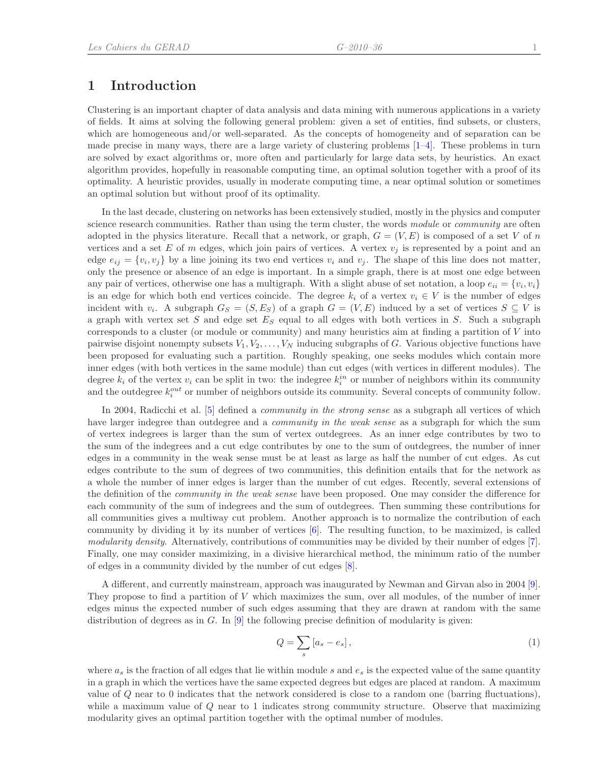## 1 Introduction

Clustering is an important chapter of data analysis and data mining with numerous applications in a variety of fields. It aims at solving the following general problem: given a set of entities, find subsets, or clusters, which are homogeneous and/or well-separated. As the concepts of homogeneity and of separation can be made precise in many ways, there are a large variety of clustering problems [\[1](#page-17-0)[–4\]](#page-17-1). These problems in turn are solved by exact algorithms or, more often and particularly for large data sets, by heuristics. An exact algorithm provides, hopefully in reasonable computing time, an optimal solution together with a proof of its optimality. A heuristic provides, usually in moderate computing time, a near optimal solution or sometimes an optimal solution but without proof of its optimality.

In the last decade, clustering on networks has been extensively studied, mostly in the physics and computer science research communities. Rather than using the term cluster, the words module or community are often adopted in the physics literature. Recall that a network, or graph,  $G = (V, E)$  is composed of a set V of n vertices and a set E of m edges, which join pairs of vertices. A vertex  $v_i$  is represented by a point and an edge  $e_{ij} = \{v_i, v_j\}$  by a line joining its two end vertices  $v_i$  and  $v_j$ . The shape of this line does not matter, only the presence or absence of an edge is important. In a simple graph, there is at most one edge between any pair of vertices, otherwise one has a multigraph. With a slight abuse of set notation, a loop  $e_{ii} = \{v_i, v_i\}$ is an edge for which both end vertices coincide. The degree  $k_i$  of a vertex  $v_i \in V$  is the number of edges incident with  $v_i$ . A subgraph  $G_S = (S, E_S)$  of a graph  $G = (V, E)$  induced by a set of vertices  $S \subseteq V$  is a graph with vertex set S and edge set  $E<sub>S</sub>$  equal to all edges with both vertices in S. Such a subgraph corresponds to a cluster (or module or community) and many heuristics aim at finding a partition of V into pairwise disjoint nonempty subsets  $V_1, V_2, \ldots, V_N$  inducing subgraphs of G. Various objective functions have been proposed for evaluating such a partition. Roughly speaking, one seeks modules which contain more inner edges (with both vertices in the same module) than cut edges (with vertices in different modules). The degree  $k_i$  of the vertex  $v_i$  can be split in two: the indegree  $k_i^{in}$  or number of neighbors within its community and the outdegree  $k_i^{out}$  or number of neighbors outside its community. Several concepts of community follow.

In 2004, Radicchi et al. [\[5\]](#page-17-2) defined a community in the strong sense as a subgraph all vertices of which have larger indegree than outdegree and a *community in the weak sense* as a subgraph for which the sum of vertex indegrees is larger than the sum of vertex outdegrees. As an inner edge contributes by two to the sum of the indegrees and a cut edge contributes by one to the sum of outdegrees, the number of inner edges in a community in the weak sense must be at least as large as half the number of cut edges. As cut edges contribute to the sum of degrees of two communities, this definition entails that for the network as a whole the number of inner edges is larger than the number of cut edges. Recently, several extensions of the definition of the community in the weak sense have been proposed. One may consider the difference for each community of the sum of indegrees and the sum of outdegrees. Then summing these contributions for all communities gives a multiway cut problem. Another approach is to normalize the contribution of each community by dividing it by its number of vertices [\[6\]](#page-17-3). The resulting function, to be maximized, is called modularity density. Alternatively, contributions of communities may be divided by their number of edges [\[7\]](#page-17-4). Finally, one may consider maximizing, in a divisive hierarchical method, the minimum ratio of the number of edges in a community divided by the number of cut edges [\[8\]](#page-17-5).

A different, and currently mainstream, approach was inaugurated by Newman and Girvan also in 2004 [\[9\]](#page-17-6). They propose to find a partition of V which maximizes the sum, over all modules, of the number of inner edges minus the expected number of such edges assuming that they are drawn at random with the same distribution of degrees as in  $G$ . In [\[9\]](#page-17-6) the following precise definition of modularity is given:

<span id="page-7-0"></span>
$$
Q = \sum_{s} \left[ a_s - e_s \right],\tag{1}
$$

where  $a_s$  is the fraction of all edges that lie within module s and  $e_s$  is the expected value of the same quantity in a graph in which the vertices have the same expected degrees but edges are placed at random. A maximum value of Q near to 0 indicates that the network considered is close to a random one (barring fluctuations), while a maximum value of Q near to 1 indicates strong community structure. Observe that maximizing modularity gives an optimal partition together with the optimal number of modules.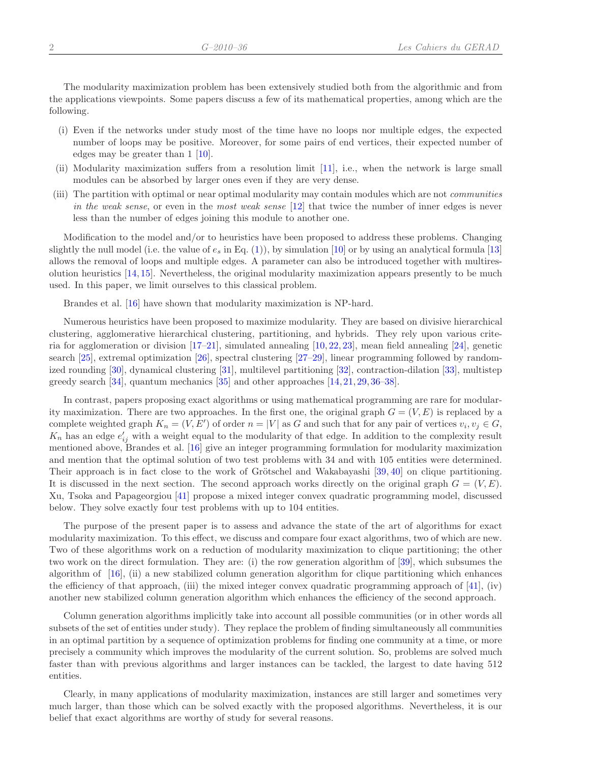The modularity maximization problem has been extensively studied both from the algorithmic and from the applications viewpoints. Some papers discuss a few of its mathematical properties, among which are the following.

- (i) Even if the networks under study most of the time have no loops nor multiple edges, the expected number of loops may be positive. Moreover, for some pairs of end vertices, their expected number of edges may be greater than 1 [\[10\]](#page-17-7).
- (ii) Modularity maximization suffers from a resolution limit [\[11\]](#page-17-8), i.e., when the network is large small modules can be absorbed by larger ones even if they are very dense.
- (iii) The partition with optimal or near optimal modularity may contain modules which are not communities in the weak sense, or even in the most weak sense [\[12\]](#page-17-9) that twice the number of inner edges is never less than the number of edges joining this module to another one.

Modification to the model and/or to heuristics have been proposed to address these problems. Changing slightly the null model (i.e. the value of  $e_s$  in Eq. [\(1\)](#page-7-0)), by simulation [\[10\]](#page-17-7) or by using an analytical formula [\[13\]](#page-17-10) allows the removal of loops and multiple edges. A parameter can also be introduced together with multiresolution heuristics [\[14,](#page-17-11) [15\]](#page-17-12). Nevertheless, the original modularity maximization appears presently to be much used. In this paper, we limit ourselves to this classical problem.

Brandes et al. [\[16\]](#page-17-13) have shown that modularity maximization is NP-hard.

Numerous heuristics have been proposed to maximize modularity. They are based on divisive hierarchical clustering, agglomerative hierarchical clustering, partitioning, and hybrids. They rely upon various criteria for agglomeration or division [\[17](#page-17-14)[–21\]](#page-17-15), simulated annealing [\[10,](#page-17-7) [22,](#page-18-0) [23\]](#page-18-1), mean field annealing [\[24\]](#page-18-2), genetic search [\[25\]](#page-18-3), extremal optimization [\[26\]](#page-18-4), spectral clustering [\[27](#page-18-5)[–29\]](#page-18-6), linear programming followed by randomized rounding [\[30\]](#page-18-7), dynamical clustering [\[31\]](#page-18-8), multilevel partitioning [\[32\]](#page-18-9), contraction-dilation [\[33\]](#page-18-10), multistep greedy search [\[34\]](#page-18-11), quantum mechanics [\[35\]](#page-18-12) and other approaches [\[14,](#page-17-11) [21,](#page-17-15) [29,](#page-18-6) [36](#page-18-13)[–38\]](#page-18-14).

In contrast, papers proposing exact algorithms or using mathematical programming are rare for modularity maximization. There are two approaches. In the first one, the original graph  $G = (V, E)$  is replaced by a complete weighted graph  $K_n = (V, E')$  of order  $n = |V|$  as G and such that for any pair of vertices  $v_i, v_j \in G$ ,  $K_n$  has an edge  $e'_{ij}$  with a weight equal to the modularity of that edge. In addition to the complexity result mentioned above, Brandes et al. [\[16\]](#page-17-13) give an integer programming formulation for modularity maximization and mention that the optimal solution of two test problems with 34 and with 105 entities were determined. Their approach is in fact close to the work of Grötschel and Wakabayashi  $[39, 40]$  $[39, 40]$  on clique partitioning. It is discussed in the next section. The second approach works directly on the original graph  $G = (V, E)$ . Xu, Tsoka and Papageorgiou [\[41\]](#page-18-17) propose a mixed integer convex quadratic programming model, discussed below. They solve exactly four test problems with up to 104 entities.

The purpose of the present paper is to assess and advance the state of the art of algorithms for exact modularity maximization. To this effect, we discuss and compare four exact algorithms, two of which are new. Two of these algorithms work on a reduction of modularity maximization to clique partitioning; the other two work on the direct formulation. They are: (i) the row generation algorithm of [\[39\]](#page-18-15), which subsumes the algorithm of [\[16\]](#page-17-13), (ii) a new stabilized column generation algorithm for clique partitioning which enhances the efficiency of that approach, (iii) the mixed integer convex quadratic programming approach of [\[41\]](#page-18-17), (iv) another new stabilized column generation algorithm which enhances the efficiency of the second approach.

Column generation algorithms implicitly take into account all possible communities (or in other words all subsets of the set of entities under study). They replace the problem of finding simultaneously all communities in an optimal partition by a sequence of optimization problems for finding one community at a time, or more precisely a community which improves the modularity of the current solution. So, problems are solved much faster than with previous algorithms and larger instances can be tackled, the largest to date having 512 entities.

Clearly, in many applications of modularity maximization, instances are still larger and sometimes very much larger, than those which can be solved exactly with the proposed algorithms. Nevertheless, it is our belief that exact algorithms are worthy of study for several reasons.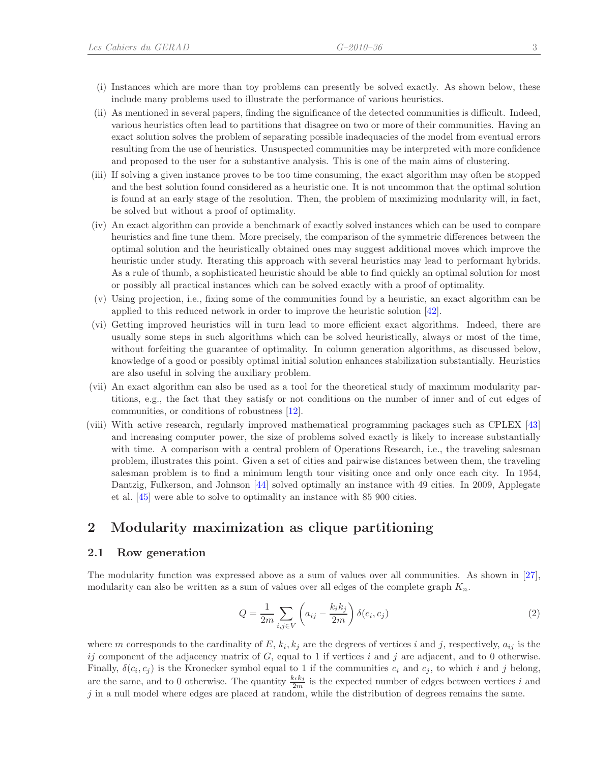- (i) Instances which are more than toy problems can presently be solved exactly. As shown below, these include many problems used to illustrate the performance of various heuristics.
- (ii) As mentioned in several papers, finding the significance of the detected communities is difficult. Indeed, various heuristics often lead to partitions that disagree on two or more of their communities. Having an exact solution solves the problem of separating possible inadequacies of the model from eventual errors resulting from the use of heuristics. Unsuspected communities may be interpreted with more confidence and proposed to the user for a substantive analysis. This is one of the main aims of clustering.
- (iii) If solving a given instance proves to be too time consuming, the exact algorithm may often be stopped and the best solution found considered as a heuristic one. It is not uncommon that the optimal solution is found at an early stage of the resolution. Then, the problem of maximizing modularity will, in fact, be solved but without a proof of optimality.
- (iv) An exact algorithm can provide a benchmark of exactly solved instances which can be used to compare heuristics and fine tune them. More precisely, the comparison of the symmetric differences between the optimal solution and the heuristically obtained ones may suggest additional moves which improve the heuristic under study. Iterating this approach with several heuristics may lead to performant hybrids. As a rule of thumb, a sophisticated heuristic should be able to find quickly an optimal solution for most or possibly all practical instances which can be solved exactly with a proof of optimality.
- (v) Using projection, i.e., fixing some of the communities found by a heuristic, an exact algorithm can be applied to this reduced network in order to improve the heuristic solution [\[42\]](#page-18-18).
- (vi) Getting improved heuristics will in turn lead to more efficient exact algorithms. Indeed, there are usually some steps in such algorithms which can be solved heuristically, always or most of the time, without forfeiting the guarantee of optimality. In column generation algorithms, as discussed below, knowledge of a good or possibly optimal initial solution enhances stabilization substantially. Heuristics are also useful in solving the auxiliary problem.
- (vii) An exact algorithm can also be used as a tool for the theoretical study of maximum modularity partitions, e.g., the fact that they satisfy or not conditions on the number of inner and of cut edges of communities, or conditions of robustness [\[12\]](#page-17-9).
- (viii) With active research, regularly improved mathematical programming packages such as CPLEX [\[43\]](#page-18-19) and increasing computer power, the size of problems solved exactly is likely to increase substantially with time. A comparison with a central problem of Operations Research, i.e., the traveling salesman problem, illustrates this point. Given a set of cities and pairwise distances between them, the traveling salesman problem is to find a minimum length tour visiting once and only once each city. In 1954, Dantzig, Fulkerson, and Johnson [\[44\]](#page-18-20) solved optimally an instance with 49 cities. In 2009, Applegate et al. [\[45\]](#page-18-21) were able to solve to optimality an instance with 85 900 cities.

## <span id="page-9-0"></span>2 Modularity maximization as clique partitioning

#### 2.1 Row generation

The modularity function was expressed above as a sum of values over all communities. As shown in [\[27\]](#page-18-5), modularity can also be written as a sum of values over all edges of the complete graph  $K_n$ .

$$
Q = \frac{1}{2m} \sum_{i,j \in V} \left( a_{ij} - \frac{k_i k_j}{2m} \right) \delta(c_i, c_j)
$$
\n
$$
(2)
$$

where m corresponds to the cardinality of  $E$ ,  $k_i$ ,  $k_j$  are the degrees of vertices i and j, respectively,  $a_{ij}$  is the ij component of the adjacency matrix of  $G$ , equal to 1 if vertices i and j are adjacent, and to 0 otherwise. Finally,  $\delta(c_i, c_j)$  is the Kronecker symbol equal to 1 if the communities  $c_i$  and  $c_j$ , to which i and j belong, are the same, and to 0 otherwise. The quantity  $\frac{k_ik_j}{2m}$  is the expected number of edges between vertices i and  $j$  in a null model where edges are placed at random, while the distribution of degrees remains the same.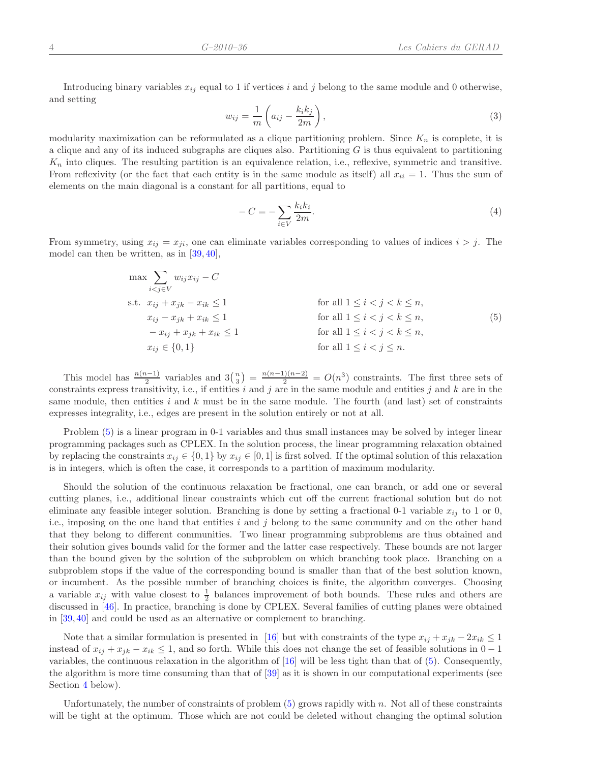Introducing binary variables  $x_{ij}$  equal to 1 if vertices i and j belong to the same module and 0 otherwise, and setting

$$
w_{ij} = \frac{1}{m} \left( a_{ij} - \frac{k_i k_j}{2m} \right),\tag{3}
$$

modularity maximization can be reformulated as a clique partitioning problem. Since  $K_n$  is complete, it is a clique and any of its induced subgraphs are cliques also. Partitioning  $G$  is thus equivalent to partitioning  $K_n$  into cliques. The resulting partition is an equivalence relation, i.e., reflexive, symmetric and transitive. From reflexivity (or the fact that each entity is in the same module as itself) all  $x_{ii} = 1$ . Thus the sum of elements on the main diagonal is a constant for all partitions, equal to

<span id="page-10-0"></span>
$$
-C = -\sum_{i \in V} \frac{k_i k_i}{2m}.\tag{4}
$$

From symmetry, using  $x_{ij} = x_{ji}$ , one can eliminate variables corresponding to values of indices  $i > j$ . The model can then be written, as in [\[39,](#page-18-15) [40\]](#page-18-16),

$$
\max \sum_{i < j \in V} w_{ij} x_{ij} - C
$$
\n
$$
\text{s.t. } x_{ij} + x_{jk} - x_{ik} \le 1
$$
\n
$$
x_{ij} - x_{jk} + x_{ik} \le 1
$$
\n
$$
-x_{ij} + x_{jk} + x_{ik} \le 1
$$
\nfor all  $1 \le i < j < k \le n$ ,\nfor all  $1 \le i < j < k \le n$ ,\nfor all  $1 \le i < j < k \le n$ ,\nfor all  $1 \le i < j < k \le n$ ,\nfor all  $1 \le i < j < k \le n$ ,\nfor all  $1 \le i < j \le k$ .

This model has  $\frac{n(n-1)}{2}$  variables and  $3\binom{n}{3} = \frac{n(n-1)(n-2)}{2} = O(n^3)$  constraints. The first three sets of constraints express transitivity, i.e., if entities  $i$  and  $j$  are in the same module and entities  $j$  and  $k$  are in the same module, then entities i and  $k$  must be in the same module. The fourth (and last) set of constraints expresses integrality, i.e., edges are present in the solution entirely or not at all.

Problem [\(5\)](#page-10-0) is a linear program in 0-1 variables and thus small instances may be solved by integer linear programming packages such as CPLEX. In the solution process, the linear programming relaxation obtained by replacing the constraints  $x_{ij} \in \{0,1\}$  by  $x_{ij} \in [0,1]$  is first solved. If the optimal solution of this relaxation is in integers, which is often the case, it corresponds to a partition of maximum modularity.

Should the solution of the continuous relaxation be fractional, one can branch, or add one or several cutting planes, i.e., additional linear constraints which cut off the current fractional solution but do not eliminate any feasible integer solution. Branching is done by setting a fractional 0-1 variable  $x_{ij}$  to 1 or 0, i.e., imposing on the one hand that entities  $i$  and  $j$  belong to the same community and on the other hand that they belong to different communities. Two linear programming subproblems are thus obtained and their solution gives bounds valid for the former and the latter case respectively. These bounds are not larger than the bound given by the solution of the subproblem on which branching took place. Branching on a subproblem stops if the value of the corresponding bound is smaller than that of the best solution known, or incumbent. As the possible number of branching choices is finite, the algorithm converges. Choosing a variable  $x_{ij}$  with value closest to  $\frac{1}{2}$  balances improvement of both bounds. These rules and others are discussed in [\[46\]](#page-18-22). In practice, branching is done by CPLEX. Several families of cutting planes were obtained in [\[39,](#page-18-15) [40\]](#page-18-16) and could be used as an alternative or complement to branching.

Note that a similar formulation is presented in [\[16\]](#page-17-13) but with constraints of the type  $x_{ij} + x_{jk} - 2x_{ik} \leq 1$ instead of  $x_{ij} + x_{jk} - x_{ik} \le 1$ , and so forth. While this does not change the set of feasible solutions in  $0 - 1$ variables, the continuous relaxation in the algorithm of  $[16]$  will be less tight than that of  $(5)$ . Consequently, the algorithm is more time consuming than that of [\[39\]](#page-18-15) as it is shown in our computational experiments (see Section [4](#page-15-0) below).

Unfortunately, the number of constraints of problem  $(5)$  grows rapidly with n. Not all of these constraints will be tight at the optimum. Those which are not could be deleted without changing the optimal solution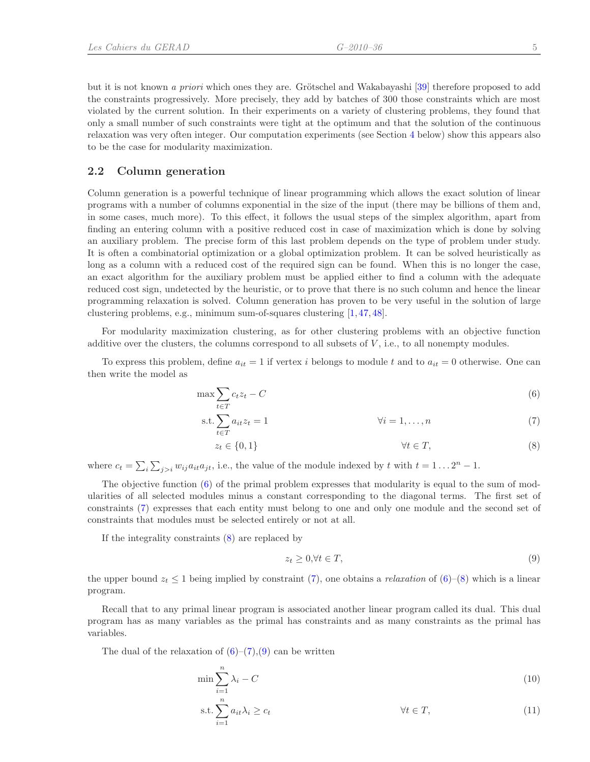but it is not known a priori which ones they are. Grötschel and Wakabayashi [\[39\]](#page-18-15) therefore proposed to add the constraints progressively. More precisely, they add by batches of 300 those constraints which are most violated by the current solution. In their experiments on a variety of clustering problems, they found that only a small number of such constraints were tight at the optimum and that the solution of the continuous relaxation was very often integer. Our computation experiments (see Section [4](#page-15-0) below) show this appears also to be the case for modularity maximization.

### <span id="page-11-6"></span>2.2 Column generation

Column generation is a powerful technique of linear programming which allows the exact solution of linear programs with a number of columns exponential in the size of the input (there may be billions of them and, in some cases, much more). To this effect, it follows the usual steps of the simplex algorithm, apart from finding an entering column with a positive reduced cost in case of maximization which is done by solving an auxiliary problem. The precise form of this last problem depends on the type of problem under study. It is often a combinatorial optimization or a global optimization problem. It can be solved heuristically as long as a column with a reduced cost of the required sign can be found. When this is no longer the case, an exact algorithm for the auxiliary problem must be applied either to find a column with the adequate reduced cost sign, undetected by the heuristic, or to prove that there is no such column and hence the linear programming relaxation is solved. Column generation has proven to be very useful in the solution of large clustering problems, e.g., minimum sum-of-squares clustering [\[1,](#page-17-0) [47,](#page-18-23) [48\]](#page-18-24).

For modularity maximization clustering, as for other clustering problems with an objective function additive over the clusters, the columns correspond to all subsets of  $V$ , i.e., to all nonempty modules.

To express this problem, define  $a_{it} = 1$  if vertex i belongs to module t and to  $a_{it} = 0$  otherwise. One can then write the model as

$$
\max \sum_{t \in T} c_t z_t - C \tag{6}
$$

$$
\text{s.t.} \sum_{t \in T} a_{it} z_t = 1 \qquad \qquad \forall i = 1, \dots, n \tag{7}
$$

$$
z_t \in \{0, 1\} \qquad \qquad \forall t \in T,
$$
\n
$$
(8)
$$

where  $c_t = \sum_i \sum_{j>i} w_{ij} a_{it} a_{jt}$ , i.e., the value of the module indexed by t with  $t = 1...2^n - 1$ .

The objective function [\(6\)](#page-11-0) of the primal problem expresses that modularity is equal to the sum of modularities of all selected modules minus a constant corresponding to the diagonal terms. The first set of constraints [\(7\)](#page-11-1) expresses that each entity must belong to one and only one module and the second set of constraints that modules must be selected entirely or not at all.

If the integrality constraints [\(8\)](#page-11-2) are replaced by

<span id="page-11-5"></span><span id="page-11-4"></span><span id="page-11-3"></span><span id="page-11-2"></span><span id="page-11-1"></span><span id="page-11-0"></span>
$$
z_t \ge 0, \forall t \in T,\tag{9}
$$

the upper bound  $z_t \leq 1$  being implied by constraint [\(7\)](#page-11-1), one obtains a *relaxation* of [\(6\)](#page-11-0)–[\(8\)](#page-11-2) which is a linear program.

Recall that to any primal linear program is associated another linear program called its dual. This dual program has as many variables as the primal has constraints and as many constraints as the primal has variables.

The dual of the relaxation of  $(6)-(7)$  $(6)-(7)$ ,  $(9)$  can be written

$$
\min \sum_{i=1}^{n} \lambda_i - C \tag{10}
$$

$$
\text{s.t.} \sum_{i=1}^{n} a_{it} \lambda_i \ge c_t \qquad \qquad \forall t \in T,
$$
\n
$$
(11)
$$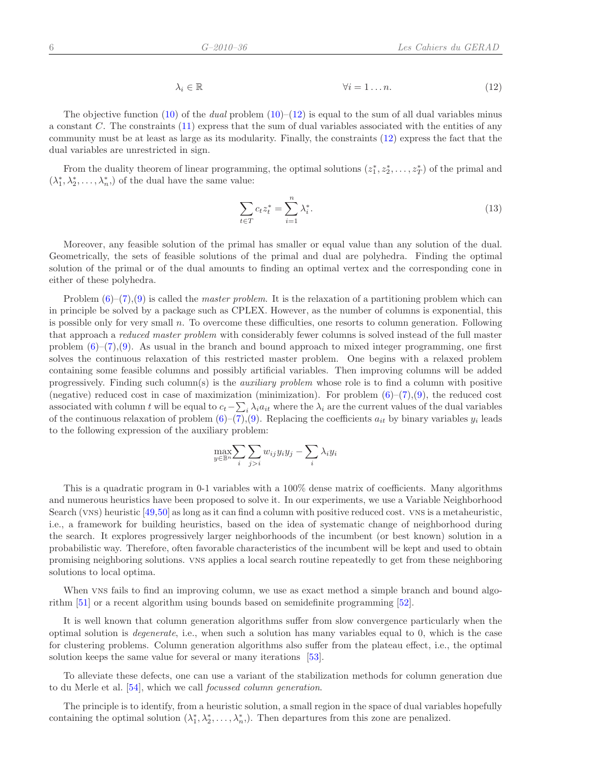$$
\lambda_i \in \mathbb{R} \tag{12}
$$

The objective function [\(10\)](#page-11-4) of the *dual* problem  $(10)$ – $(12)$  is equal to the sum of all dual variables minus a constant C. The constraints [\(11\)](#page-11-5) express that the sum of dual variables associated with the entities of any community must be at least as large as its modularity. Finally, the constraints [\(12\)](#page-12-0) express the fact that the dual variables are unrestricted in sign.

From the duality theorem of linear programming, the optimal solutions  $(z_1^*, z_2^*, \ldots, z_T^*)$  of the primal and  $(\lambda_1^*, \lambda_2^*, \ldots, \lambda_n^*)$  of the dual have the same value:

<span id="page-12-0"></span>
$$
\sum_{t \in T} c_t z_t^* = \sum_{i=1}^n \lambda_i^*.
$$
\n(13)

Moreover, any feasible solution of the primal has smaller or equal value than any solution of the dual. Geometrically, the sets of feasible solutions of the primal and dual are polyhedra. Finding the optimal solution of the primal or of the dual amounts to finding an optimal vertex and the corresponding cone in either of these polyhedra.

Problem  $(6)-(7),(9)$  $(6)-(7),(9)$  $(6)-(7),(9)$  $(6)-(7),(9)$  is called the *master problem*. It is the relaxation of a partitioning problem which can in principle be solved by a package such as CPLEX. However, as the number of columns is exponential, this is possible only for very small n. To overcome these difficulties, one resorts to column generation. Following that approach a reduced master problem with considerably fewer columns is solved instead of the full master problem  $(6)-(7),(9)$  $(6)-(7),(9)$  $(6)-(7),(9)$  $(6)-(7),(9)$ . As usual in the branch and bound approach to mixed integer programming, one first solves the continuous relaxation of this restricted master problem. One begins with a relaxed problem containing some feasible columns and possibly artificial variables. Then improving columns will be added progressively. Finding such column(s) is the *auxiliary problem* whose role is to find a column with positive (negative) reduced cost in case of maximization (minimization). For problem  $(6)-(7),(9)$  $(6)-(7),(9)$  $(6)-(7),(9)$  $(6)-(7),(9)$ , the reduced cost associated with column t will be equal to  $c_t - \sum_i \lambda_i a_{it}$  where the  $\lambda_i$  are the current values of the dual variables of the continuous relaxation of problem  $(6)-(7),(9)$  $(6)-(7),(9)$  $(6)-(7),(9)$  $(6)-(7),(9)$ . Replacing the coefficients  $a_{it}$  by binary variables  $y_i$  leads to the following expression of the auxiliary problem:

$$
\max_{y \in \mathbb{B}^n} \sum_i \sum_{j>i} w_{ij} y_i y_j - \sum_i \lambda_i y_i
$$

This is a quadratic program in 0-1 variables with a 100% dense matrix of coefficients. Many algorithms and numerous heuristics have been proposed to solve it. In our experiments, we use a Variable Neighborhood Search (vns) heuristic [\[49,](#page-18-25)[50\]](#page-19-0) as long as it can find a column with positive reduced cost. vns is a metaheuristic, i.e., a framework for building heuristics, based on the idea of systematic change of neighborhood during the search. It explores progressively larger neighborhoods of the incumbent (or best known) solution in a probabilistic way. Therefore, often favorable characteristics of the incumbent will be kept and used to obtain promising neighboring solutions. vns applies a local search routine repeatedly to get from these neighboring solutions to local optima.

When vns fails to find an improving column, we use as exact method a simple branch and bound algorithm [\[51\]](#page-19-1) or a recent algorithm using bounds based on semidefinite programming [\[52\]](#page-19-2).

It is well known that column generation algorithms suffer from slow convergence particularly when the optimal solution is degenerate, i.e., when such a solution has many variables equal to 0, which is the case for clustering problems. Column generation algorithms also suffer from the plateau effect, i.e., the optimal solution keeps the same value for several or many iterations [\[53\]](#page-19-3).

To alleviate these defects, one can use a variant of the stabilization methods for column generation due to du Merle et al. [\[54\]](#page-19-4), which we call focussed column generation.

The principle is to identify, from a heuristic solution, a small region in the space of dual variables hopefully containing the optimal solution  $(\lambda_1^*, \lambda_2^*, \dots, \lambda_n^*)$ . Then departures from this zone are penalized.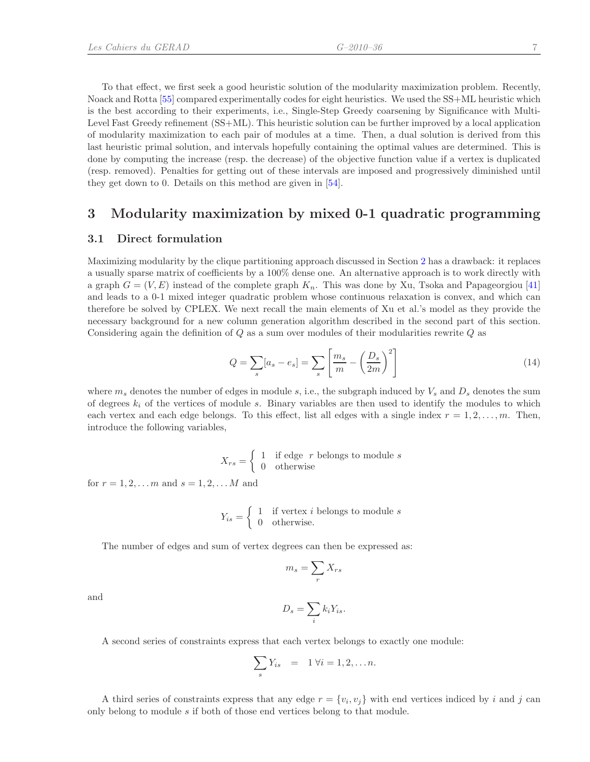To that effect, we first seek a good heuristic solution of the modularity maximization problem. Recently, Noack and Rotta [\[55\]](#page-19-5) compared experimentally codes for eight heuristics. We used the SS+ML heuristic which is the best according to their experiments, i.e., Single-Step Greedy coarsening by Significance with Multi-Level Fast Greedy refinement (SS+ML). This heuristic solution can be further improved by a local application of modularity maximization to each pair of modules at a time. Then, a dual solution is derived from this last heuristic primal solution, and intervals hopefully containing the optimal values are determined. This is done by computing the increase (resp. the decrease) of the objective function value if a vertex is duplicated (resp. removed). Penalties for getting out of these intervals are imposed and progressively diminished until they get down to 0. Details on this method are given in [\[54\]](#page-19-4).

## <span id="page-13-0"></span>3 Modularity maximization by mixed 0-1 quadratic programming

#### 3.1 Direct formulation

Maximizing modularity by the clique partitioning approach discussed in Section [2](#page-9-0) has a drawback: it replaces a usually sparse matrix of coefficients by a 100% dense one. An alternative approach is to work directly with a graph  $G = (V, E)$  instead of the complete graph  $K_n$ . This was done by Xu, Tsoka and Papageorgiou [\[41\]](#page-18-17) and leads to a 0-1 mixed integer quadratic problem whose continuous relaxation is convex, and which can therefore be solved by CPLEX. We next recall the main elements of Xu et al.'s model as they provide the necessary background for a new column generation algorithm described in the second part of this section. Considering again the definition of  $Q$  as a sum over modules of their modularities rewrite  $Q$  as

$$
Q = \sum_{s} [a_s - e_s] = \sum_{s} \left[ \frac{m_s}{m} - \left( \frac{D_s}{2m} \right)^2 \right]
$$
 (14)

where  $m_s$  denotes the number of edges in module s, i.e., the subgraph induced by  $V_s$  and  $D_s$  denotes the sum of degrees  $k_i$  of the vertices of module s. Binary variables are then used to identify the modules to which each vertex and each edge belongs. To this effect, list all edges with a single index  $r = 1, 2, \ldots, m$ . Then, introduce the following variables,

$$
X_{rs} = \begin{cases} 1 & \text{if edge } r \text{ belongs to module } s \\ 0 & \text{otherwise} \end{cases}
$$

for  $r = 1, 2, ..., m$  and  $s = 1, 2, ... M$  and

$$
Y_{is} = \begin{cases} 1 & \text{if vertex } i \text{ belongs to module } s \\ 0 & \text{otherwise.} \end{cases}
$$

The number of edges and sum of vertex degrees can then be expressed as:

$$
m_s = \sum_r X_{rs}
$$

 $D_s = \sum$ i  $k_iY_{is}$ .

A second series of constraints express that each vertex belongs to exactly one module:

$$
\sum_{s} Y_{is} = 1 \,\forall i = 1, 2, \ldots n.
$$

A third series of constraints express that any edge  $r = \{v_i, v_j\}$  with end vertices indiced by i and j can only belong to module s if both of those end vertices belong to that module.

and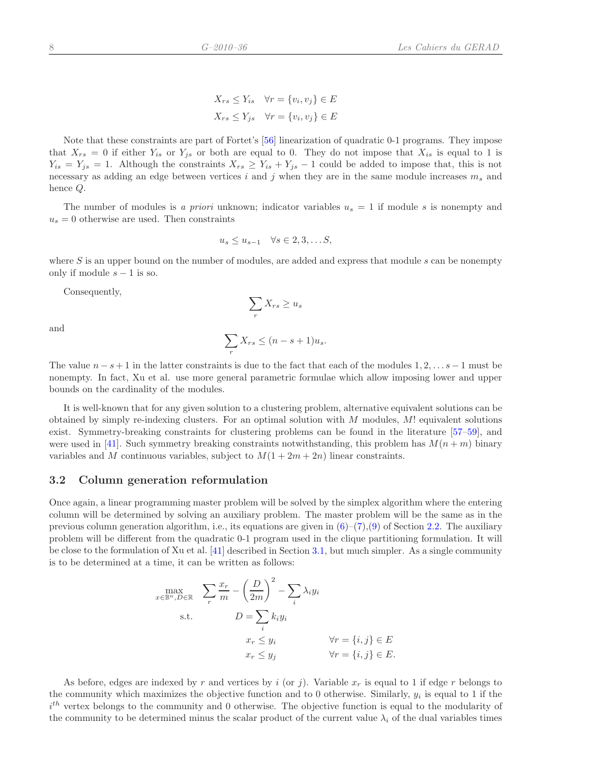$$
X_{rs} \le Y_{is} \quad \forall r = \{v_i, v_j\} \in E
$$
  

$$
X_{rs} \le Y_{js} \quad \forall r = \{v_i, v_j\} \in E
$$

Note that these constraints are part of Fortet's [\[56\]](#page-19-6) linearization of quadratic 0-1 programs. They impose that  $X_{rs} = 0$  if either  $Y_{is}$  or  $Y_{js}$  or both are equal to 0. They do not impose that  $X_{is}$  is equal to 1 is  $Y_{is} = Y_{js} = 1$ . Although the constraints  $X_{rs} \geq Y_{is} + Y_{js} - 1$  could be added to impose that, this is not necessary as adding an edge between vertices i and j when they are in the same module increases  $m_s$  and hence Q.

The number of modules is a priori unknown; indicator variables  $u_s = 1$  if module s is nonempty and  $u_s = 0$  otherwise are used. Then constraints

$$
u_s \le u_{s-1} \quad \forall s \in 2, 3, \dots S,
$$

where S is an upper bound on the number of modules, are added and express that module s can be nonempty only if module  $s - 1$  is so.

Consequently,

$$
\sum_r X_{rs} \ge u_s
$$

and

$$
\sum_r X_{rs} \le (n - s + 1)u_s.
$$

The value  $n - s + 1$  in the latter constraints is due to the fact that each of the modules  $1, 2, \ldots s - 1$  must be nonempty. In fact, Xu et al. use more general parametric formulae which allow imposing lower and upper bounds on the cardinality of the modules.

It is well-known that for any given solution to a clustering problem, alternative equivalent solutions can be obtained by simply re-indexing clusters. For an optimal solution with  $M$  modules,  $M!$  equivalent solutions exist. Symmetry-breaking constraints for clustering problems can be found in the literature [\[57](#page-19-7)[–59\]](#page-19-8), and were used in [\[41\]](#page-18-17). Such symmetry breaking constraints notwithstanding, this problem has  $M(n+m)$  binary variables and M continuous variables, subject to  $M(1+2m+2n)$  linear constraints.

### 3.2 Column generation reformulation

Once again, a linear programming master problem will be solved by the simplex algorithm where the entering column will be determined by solving an auxiliary problem. The master problem will be the same as in the previous column generation algorithm, i.e., its equations are given in  $(6)-(7),(9)$  $(6)-(7),(9)$  $(6)-(7),(9)$  $(6)-(7),(9)$  of Section [2.2.](#page-11-6) The auxiliary problem will be different from the quadratic 0-1 program used in the clique partitioning formulation. It will be close to the formulation of Xu et al. [\[41\]](#page-18-17) described in Section [3.1,](#page-13-0) but much simpler. As a single community is to be determined at a time, it can be written as follows:

$$
\max_{x \in \mathbb{B}^n, D \in \mathbb{R}} \sum_{r} \frac{x_r}{m} - \left(\frac{D}{2m}\right)^2 - \sum_{i} \lambda_i y_i
$$
\n
$$
\text{s.t.} \qquad D = \sum_{i} k_i y_i
$$
\n
$$
x_r \le y_i \qquad \qquad \forall r = \{i, j\} \in E
$$
\n
$$
x_r \le y_j \qquad \qquad \forall r = \{i, j\} \in E.
$$

As before, edges are indexed by r and vertices by i (or j). Variable  $x_r$  is equal to 1 if edge r belongs to the community which maximizes the objective function and to 0 otherwise. Similarly,  $y_i$  is equal to 1 if the  $i<sup>th</sup>$  vertex belongs to the community and 0 otherwise. The objective function is equal to the modularity of the community to be determined minus the scalar product of the current value  $\lambda_i$  of the dual variables times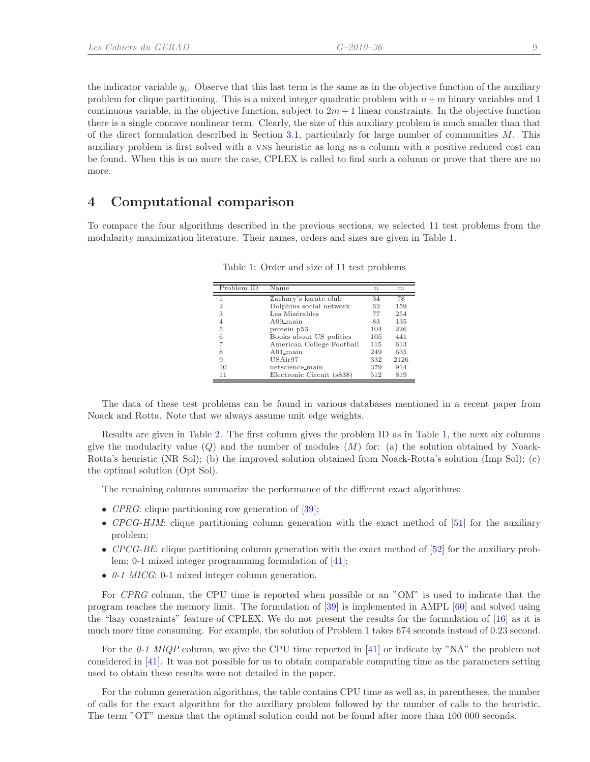the indicator variable  $y_i$ . Observe that this last term is the same as in the objective function of the auxiliary problem for clique partitioning. This is a mixed integer quadratic problem with  $n+m$  binary variables and 1 continuous variable, in the objective function, subject to  $2m + 1$  linear constraints. In the objective function there is a single concave nonlinear term. Clearly, the size of this auxiliary problem is much smaller than that of the direct formulation described in Section [3.1,](#page-13-0) particularly for large number of communities  $M$ . This auxiliary problem is first solved with a vns heuristic as long as a column with a positive reduced cost can be found. When this is no more the case, CPLEX is called to find such a column or prove that there are no more.

### <span id="page-15-0"></span>4 Computational comparison

To compare the four algorithms described in the previous sections, we selected 11 test problems from the modularity maximization literature. Their names, orders and sizes are given in Table [1.](#page-15-1)

<span id="page-15-1"></span>

| Problem ID     | Name                      | n   | m    |
|----------------|---------------------------|-----|------|
|                | Zachary's karate club     | 34  | 78   |
| $\overline{2}$ | Dolphins social network   | 62  | 159  |
| 3              | Les Misérables            | 77  | 254  |
| 4              | $A00$ _main               | 83  | 135  |
| 5              | protein p53               | 104 | 226  |
| 6              | Books about US politics   | 105 | 441  |
|                | American College Football | 115 | 613  |
|                | $A01$ <sub>main</sub>     | 249 | 635  |
| 9              | USAir97                   | 332 | 2126 |
| 10             | netscience_main           | 379 | 914  |
| 11             | Electronic Circuit (s838) | 512 | 819  |

Table 1: Order and size of 11 test problems

The data of these test problems can be found in various databases mentioned in a recent paper from Noack and Rotta. Note that we always assume unit edge weights.

Results are given in Table [2.](#page-16-0) The first column gives the problem ID as in Table [1,](#page-15-1) the next six columns give the modularity value  $(Q)$  and the number of modules  $(M)$  for: (a) the solution obtained by Noack-Rotta's heuristic (NR Sol); (b) the improved solution obtained from Noack-Rotta's solution (Imp Sol); (c) the optimal solution (Opt Sol).

The remaining columns summarize the performance of the different exact algorithms:

- CPRG: clique partitioning row generation of [\[39\]](#page-18-15);
- CPCG-HJM: clique partitioning column generation with the exact method of [\[51\]](#page-19-1) for the auxiliary problem;
- CPCG-BE: clique partitioning column generation with the exact method of [\[52\]](#page-19-2) for the auxiliary problem; 0-1 mixed integer programming formulation of [\[41\]](#page-18-17);
- 0-1 MICG: 0-1 mixed integer column generation.

For CPRG column, the CPU time is reported when possible or an "OM" is used to indicate that the program reaches the memory limit. The formulation of [\[39\]](#page-18-15) is implemented in AMPL [\[60\]](#page-19-9) and solved using the "lazy constraints" feature of CPLEX. We do not present the results for the formulation of [\[16\]](#page-17-13) as it is much more time consuming. For example, the solution of Problem 1 takes 674 seconds instead of 0.23 second.

For the  $0-1$  MIQP column, we give the CPU time reported in [\[41\]](#page-18-17) or indicate by "NA" the problem not considered in [\[41\]](#page-18-17). It was not possible for us to obtain comparable computing time as the parameters setting used to obtain these results were not detailed in the paper.

For the column generation algorithms, the table contains CPU time as well as, in parentheses, the number of calls for the exact algorithm for the auxiliary problem followed by the number of calls to the heuristic. The term "OT" means that the optimal solution could not be found after more than 100 000 seconds.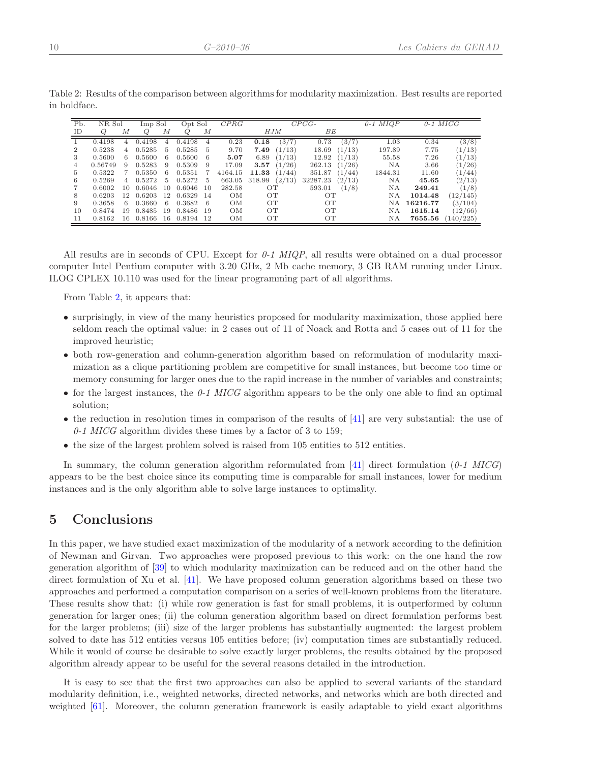| Pb.            | NR Sol  |                | Imp Sol |    | Opt Sol  |     | CPRG    | $CPCG-$ |        | $0-1$ MIQP | $0-1$ MICG |         |          |           |
|----------------|---------|----------------|---------|----|----------|-----|---------|---------|--------|------------|------------|---------|----------|-----------|
| ID             | Q       | М              | Q       | М  | $\omega$ | М   |         | HЈМ     |        | BЕ         |            |         |          |           |
|                | 0.4198  | 4              | 0.4198  | 4  | 0.4198   | 4   | 0.23    | 0.18    | (3/7)  | 0.73       | (3/7)      | 1.03    | 0.34     | (3/8)     |
| $\overline{2}$ | 0.5238  | 4              | 0.5285  | 5. | 0.5285   | 5   | 9.70    | 7.49    | (1/13) | 18.69      | (1/13)     | 197.89  | 7.75     | (1/13)    |
| 3              | 0.5600  | 6              | 0.5600  | 6  | 0.5600   | 6   | 5.07    | 6.89    | (1/13) | 12.92      | (1/13)     | 55.58   | 7.26     | (1/13)    |
| 4              | 0.56749 | 9              | 0.5283  | 9  | 0.5309   | 9   | 17.09   | 3.57    | (1/26) | 262.13     | (1/26)     | ΝA      | 3.66     | (1/26)    |
| 5.             | 0.5322  | 7              | 0.5350  | 6  | 0.5351   |     | 4164.15 | 11.33   | (1/44) | 351.87     | (1/44)     | 1844.31 | 11.60    | (1/44)    |
| 6              | 0.5269  | $\overline{4}$ | 0.5272  | 5. | 0.5272   | 5   | 663.05  | 318.99  | (2/13) | 32287.23   | (2/13)     | NΑ      | 45.65    | (2/13)    |
|                | 0.6002  | 10             | 0.6046  | 10 | 0.6046   | 10  | 282.58  | OТ      |        | 593.01     | (1/8)      | ΝA      | 249.41   | (1/8)     |
| 8              | 0.6203  | 12             | 0.6203  | 12 | 0.6329   | -14 | ΟM      | OТ      |        | OТ         |            | ΝA      | 1014.48  | (12/145)  |
| 9              | 0.3658  | 6              | 0.3660  | 6  | 0.3682   | 6   | OM      | OT      |        | OT         |            | NА      | 16216.77 | (3/104)   |
| 10             | 0.8474  | 19             | 0.8485  | 19 | 0.8486   | 19  | ΟM      | OT      |        | OT         |            | ΝA      | 1615.14  | (12/66)   |
| 11             | 0.8162  | 16             | 0.8166  | 16 | 0.8194   | 12  | ΟM      | OТ      |        | OТ         |            | ΝA      | 7655.56  | (140/225) |

<span id="page-16-0"></span>Table 2: Results of the comparison between algorithms for modularity maximization. Best results are reported in boldface.

All results are in seconds of CPU. Except for  $0-1$  MIQP, all results were obtained on a dual processor computer Intel Pentium computer with 3.20 GHz, 2 Mb cache memory, 3 GB RAM running under Linux. ILOG CPLEX 10.110 was used for the linear programming part of all algorithms.

From Table [2,](#page-16-0) it appears that:

- surprisingly, in view of the many heuristics proposed for modularity maximization, those applied here seldom reach the optimal value: in 2 cases out of 11 of Noack and Rotta and 5 cases out of 11 for the improved heuristic;
- both row-generation and column-generation algorithm based on reformulation of modularity maximization as a clique partitioning problem are competitive for small instances, but become too time or memory consuming for larger ones due to the rapid increase in the number of variables and constraints;
- for the largest instances, the  $0-1$  MICG algorithm appears to be the only one able to find an optimal solution;
- the reduction in resolution times in comparison of the results of  $[41]$  are very substantial: the use of 0-1 MICG algorithm divides these times by a factor of 3 to 159;
- the size of the largest problem solved is raised from 105 entities to 512 entities.

In summary, the column generation algorithm reformulated from [\[41\]](#page-18-17) direct formulation  $(0-1)$  MICG) appears to be the best choice since its computing time is comparable for small instances, lower for medium instances and is the only algorithm able to solve large instances to optimality.

## 5 Conclusions

In this paper, we have studied exact maximization of the modularity of a network according to the definition of Newman and Girvan. Two approaches were proposed previous to this work: on the one hand the row generation algorithm of [\[39\]](#page-18-15) to which modularity maximization can be reduced and on the other hand the direct formulation of Xu et al. [\[41\]](#page-18-17). We have proposed column generation algorithms based on these two approaches and performed a computation comparison on a series of well-known problems from the literature. These results show that: (i) while row generation is fast for small problems, it is outperformed by column generation for larger ones; (ii) the column generation algorithm based on direct formulation performs best for the larger problems; (iii) size of the larger problems has substantially augmented: the largest problem solved to date has 512 entities versus 105 entities before; (iv) computation times are substantially reduced. While it would of course be desirable to solve exactly larger problems, the results obtained by the proposed algorithm already appear to be useful for the several reasons detailed in the introduction.

It is easy to see that the first two approaches can also be applied to several variants of the standard modularity definition, i.e., weighted networks, directed networks, and networks which are both directed and weighted [\[61\]](#page-19-10). Moreover, the column generation framework is easily adaptable to yield exact algorithms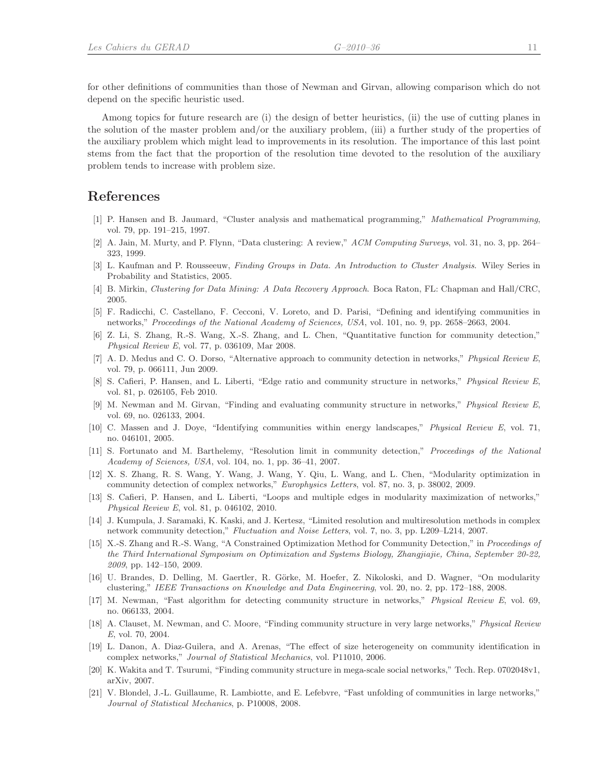for other definitions of communities than those of Newman and Girvan, allowing comparison which do not depend on the specific heuristic used.

Among topics for future research are (i) the design of better heuristics, (ii) the use of cutting planes in the solution of the master problem and/or the auxiliary problem, (iii) a further study of the properties of the auxiliary problem which might lead to improvements in its resolution. The importance of this last point stems from the fact that the proportion of the resolution time devoted to the resolution of the auxiliary problem tends to increase with problem size.

## <span id="page-17-0"></span>References

- [1] P. Hansen and B. Jaumard, "Cluster analysis and mathematical programming," *Mathematical Programming*, vol. 79, pp. 191–215, 1997.
- [2] A. Jain, M. Murty, and P. Flynn, "Data clustering: A review," *ACM Computing Surveys*, vol. 31, no. 3, pp. 264– 323, 1999.
- [3] L. Kaufman and P. Rousseeuw, *Finding Groups in Data. An Introduction to Cluster Analysis*. Wiley Series in Probability and Statistics, 2005.
- <span id="page-17-2"></span><span id="page-17-1"></span>[4] B. Mirkin, *Clustering for Data Mining: A Data Recovery Approach*. Boca Raton, FL: Chapman and Hall/CRC, 2005.
- [5] F. Radicchi, C. Castellano, F. Cecconi, V. Loreto, and D. Parisi, "Defining and identifying communities in networks," *Proceedings of the National Academy of Sciences, USA*, vol. 101, no. 9, pp. 2658–2663, 2004.
- <span id="page-17-3"></span>[6] Z. Li, S. Zhang, R.-S. Wang, X.-S. Zhang, and L. Chen, "Quantitative function for community detection," *Physical Review E*, vol. 77, p. 036109, Mar 2008.
- <span id="page-17-4"></span>[7] A. D. Medus and C. O. Dorso, "Alternative approach to community detection in networks," *Physical Review E*, vol. 79, p. 066111, Jun 2009.
- <span id="page-17-5"></span>[8] S. Cafieri, P. Hansen, and L. Liberti, "Edge ratio and community structure in networks," *Physical Review E*, vol. 81, p. 026105, Feb 2010.
- <span id="page-17-6"></span>[9] M. Newman and M. Girvan, "Finding and evaluating community structure in networks," *Physical Review E*, vol. 69, no. 026133, 2004.
- <span id="page-17-7"></span>[10] C. Massen and J. Doye, "Identifying communities within energy landscapes," *Physical Review E*, vol. 71, no. 046101, 2005.
- <span id="page-17-8"></span>[11] S. Fortunato and M. Barthelemy, "Resolution limit in community detection," *Proceedings of the National Academy of Sciences, USA*, vol. 104, no. 1, pp. 36–41, 2007.
- <span id="page-17-9"></span>[12] X. S. Zhang, R. S. Wang, Y. Wang, J. Wang, Y. Qiu, L. Wang, and L. Chen, "Modularity optimization in community detection of complex networks," *Europhysics Letters*, vol. 87, no. 3, p. 38002, 2009.
- <span id="page-17-10"></span>[13] S. Cafieri, P. Hansen, and L. Liberti, "Loops and multiple edges in modularity maximization of networks," *Physical Review E*, vol. 81, p. 046102, 2010.
- <span id="page-17-11"></span>[14] J. Kumpula, J. Saramaki, K. Kaski, and J. Kertesz, "Limited resolution and multiresolution methods in complex network community detection," *Fluctuation and Noise Letters*, vol. 7, no. 3, pp. L209–L214, 2007.
- <span id="page-17-12"></span>[15] X.-S. Zhang and R.-S. Wang, "A Constrained Optimization Method for Community Detection," in *Proceedings of the Third International Symposium on Optimization and Systems Biology, Zhangjiajie, China, September 20-22, 2009*, pp. 142–150, 2009.
- <span id="page-17-13"></span>[16] U. Brandes, D. Delling, M. Gaertler, R. Görke, M. Hoefer, Z. Nikoloski, and D. Wagner, "On modularity clustering," *IEEE Transactions on Knowledge and Data Engineering*, vol. 20, no. 2, pp. 172–188, 2008.
- <span id="page-17-14"></span>[17] M. Newman, "Fast algorithm for detecting community structure in networks," *Physical Review E*, vol. 69, no. 066133, 2004.
- [18] A. Clauset, M. Newman, and C. Moore, "Finding community structure in very large networks," *Physical Review E*, vol. 70, 2004.
- [19] L. Danon, A. Diaz-Guilera, and A. Arenas, "The effect of size heterogeneity on community identification in complex networks," *Journal of Statistical Mechanics*, vol. P11010, 2006.
- [20] K. Wakita and T. Tsurumi, "Finding community structure in mega-scale social networks," Tech. Rep. 0702048v1, arXiv, 2007.
- <span id="page-17-15"></span>[21] V. Blondel, J.-L. Guillaume, R. Lambiotte, and E. Lefebvre, "Fast unfolding of communities in large networks," *Journal of Statistical Mechanics*, p. P10008, 2008.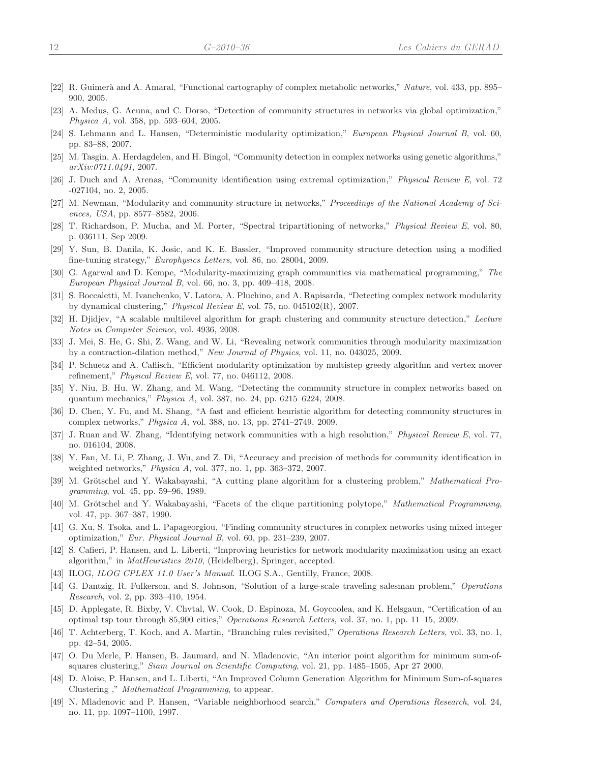- <span id="page-18-1"></span><span id="page-18-0"></span>[22] R. Guimer`a and A. Amaral, "Functional cartography of complex metabolic networks," *Nature*, vol. 433, pp. 895– 900, 2005.
- <span id="page-18-2"></span>[23] A. Medus, G. Acuna, and C. Dorso, "Detection of community structures in networks via global optimization," *Physica A*, vol. 358, pp. 593–604, 2005.
- [24] S. Lehmann and L. Hansen, "Deterministic modularity optimization," *European Physical Journal B*, vol. 60, pp. 83–88, 2007.
- <span id="page-18-4"></span><span id="page-18-3"></span>[25] M. Tasgin, A. Herdagdelen, and H. Bingol, "Community detection in complex networks using genetic algorithms," *arXiv:0711.0491*, 2007.
- <span id="page-18-5"></span>[26] J. Duch and A. Arenas, "Community identification using extremal optimization," *Physical Review E*, vol. 72 -027104, no. 2, 2005.
- [27] M. Newman, "Modularity and community structure in networks," *Proceedings of the National Academy of Sciences, USA*, pp. 8577–8582, 2006.
- [28] T. Richardson, P. Mucha, and M. Porter, "Spectral tripartitioning of networks," *Physical Review E*, vol. 80, p. 036111, Sep 2009.
- <span id="page-18-6"></span>[29] Y. Sun, B. Danila, K. Josic, and K. E. Bassler, "Improved community structure detection using a modified fine-tuning strategy," *Europhysics Letters*, vol. 86, no. 28004, 2009.
- <span id="page-18-7"></span>[30] G. Agarwal and D. Kempe, "Modularity-maximizing graph communities via mathematical programming," *The European Physical Journal B*, vol. 66, no. 3, pp. 409–418, 2008.
- <span id="page-18-8"></span>[31] S. Boccaletti, M. Ivanchenko, V. Latora, A. Pluchino, and A. Rapisarda, "Detecting complex network modularity by dynamical clustering," *Physical Review E*, vol. 75, no. 045102(R), 2007.
- <span id="page-18-10"></span><span id="page-18-9"></span>[32] H. Djidjev, "A scalable multilevel algorithm for graph clustering and community structure detection," *Lecture Notes in Computer Science*, vol. 4936, 2008.
- <span id="page-18-11"></span>[33] J. Mei, S. He, G. Shi, Z. Wang, and W. Li, "Revealing network communities through modularity maximization by a contraction-dilation method," *New Journal of Physics*, vol. 11, no. 043025, 2009.
- <span id="page-18-12"></span>[34] P. Schuetz and A. Caflisch, "Efficient modularity optimization by multistep greedy algorithm and vertex mover refinement," *Physical Review E*, vol. 77, no. 046112, 2008.
- [35] Y. Niu, B. Hu, W. Zhang, and M. Wang, "Detecting the community structure in complex networks based on quantum mechanics," *Physica A*, vol. 387, no. 24, pp. 6215–6224, 2008.
- <span id="page-18-13"></span>[36] D. Chen, Y. Fu, and M. Shang, "A fast and efficient heuristic algorithm for detecting community structures in complex networks," *Physica A*, vol. 388, no. 13, pp. 2741–2749, 2009.
- [37] J. Ruan and W. Zhang, "Identifying network communities with a high resolution," *Physical Review E*, vol. 77, no. 016104, 2008.
- <span id="page-18-14"></span>[38] Y. Fan, M. Li, P. Zhang, J. Wu, and Z. Di, "Accuracy and precision of methods for community identification in weighted networks," *Physica A*, vol. 377, no. 1, pp. 363–372, 2007.
- <span id="page-18-15"></span>[39] M. Grötschel and Y. Wakabayashi, "A cutting plane algorithm for a clustering problem," *Mathematical Programming*, vol. 45, pp. 59–96, 1989.
- <span id="page-18-16"></span>[40] M. Grötschel and Y. Wakabayashi, "Facets of the clique partitioning polytope," *Mathematical Programming*, vol. 47, pp. 367–387, 1990.
- <span id="page-18-18"></span><span id="page-18-17"></span>[41] G. Xu, S. Tsoka, and L. Papageorgiou, "Finding community structures in complex networks using mixed integer optimization," *Eur. Physical Journal B*, vol. 60, pp. 231–239, 2007.
- [42] S. Cafieri, P. Hansen, and L. Liberti, "Improving heuristics for network modularity maximization using an exact algorithm," in *MatHeuristics 2010*, (Heidelberg), Springer, accepted.
- <span id="page-18-20"></span><span id="page-18-19"></span>[43] ILOG, *ILOG CPLEX 11.0 User's Manual*. ILOG S.A., Gentilly, France, 2008.
- [44] G. Dantzig, R. Fulkerson, and S. Johnson, "Solution of a large-scale traveling salesman problem," *Operations Research*, vol. 2, pp. 393–410, 1954.
- <span id="page-18-21"></span>[45] D. Applegate, R. Bixby, V. Chvtal, W. Cook, D. Espinoza, M. Goycoolea, and K. Helsgaun, "Certification of an optimal tsp tour through 85,900 cities," *Operations Research Letters*, vol. 37, no. 1, pp. 11–15, 2009.
- <span id="page-18-22"></span>[46] T. Achterberg, T. Koch, and A. Martin, "Branching rules revisited," *Operations Research Letters*, vol. 33, no. 1, pp. 42–54, 2005.
- <span id="page-18-23"></span>[47] O. Du Merle, P. Hansen, B. Jaumard, and N. Mladenovic, "An interior point algorithm for minimum sum-ofsquares clustering," *Siam Journal on Scientific Computing*, vol. 21, pp. 1485–1505, Apr 27 2000.
- <span id="page-18-24"></span>[48] D. Aloise, P. Hansen, and L. Liberti, "An Improved Column Generation Algorithm for Minimum Sum-of-squares Clustering ," *Mathematical Programming*, to appear.
- <span id="page-18-25"></span>[49] N. Mladenovic and P. Hansen, "Variable neighborhood search," *Computers and Operations Research*, vol. 24, no. 11, pp. 1097–1100, 1997.